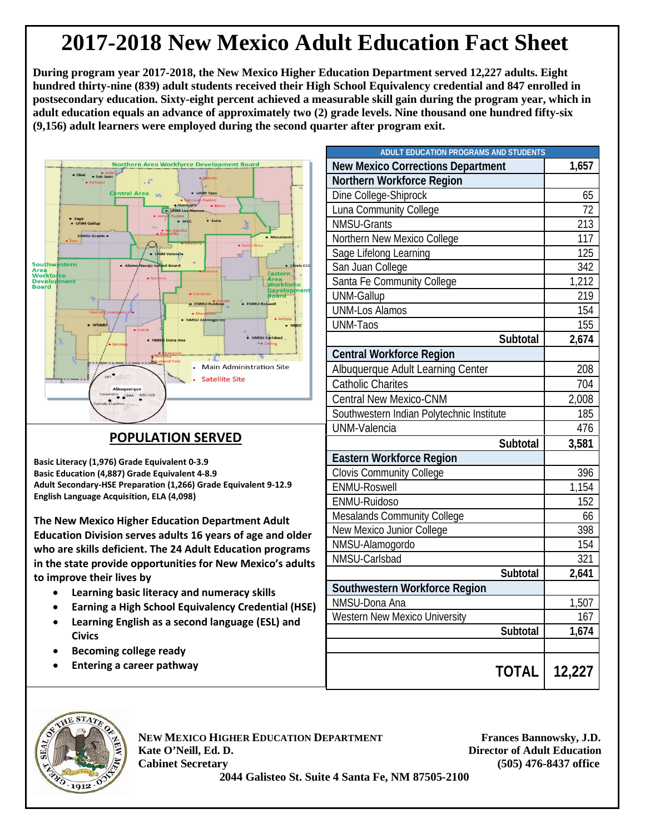## **2017-2018 New Mexico Adult Education Fact Sheet**

**During program year 2017-2018, the New Mexico Higher Education Department served 12,227 adults. Eight hundred thirty-nine (839) adult students received their High School Equivalency credential and 847 enrolled in postsecondary education. Sixty-eight percent achieved a measurable skill gain during the program year, which in adult education equals an advance of approximately two (2) grade levels. Nine thousand one hundred fifty-six (9,156) adult learners were employed during the second quarter after program exit.**



## **POPULATION SERVED**

**Basic Literacy (1,976) Grade Equivalent 0-3.9 Basic Education (4,887) Grade Equivalent 4-8.9 Adult Secondary-HSE Preparation (1,266) Grade Equivalent 9-12.9 English Language Acquisition, ELA (4,098)**

**The New Mexico Higher Education Department Adult Education Division serves adults 16 years of age and older who are skills deficient. The 24 Adult Education programs in the state provide opportunities for New Mexico's adults to improve their lives by**

- **Learning basic literacy and numeracy skills**
- **Earning a High School Equivalency Credential (HSE)**
- **Learning English as a second language (ESL) and Civics**
- **Becoming college ready**
- **Entering a career pathway**

| <b>ADULT EDUCATION PROGRAMS AND STUDENTS</b> |                  |
|----------------------------------------------|------------------|
| <b>New Mexico Corrections Department</b>     | 1,657            |
| Northern Workforce Region                    |                  |
| Dine College-Shiprock                        | 65               |
| Luna Community College                       | 72               |
| <b>NMSU-Grants</b>                           | 213              |
| Northern New Mexico College                  | 117              |
| Sage Lifelong Learning                       | 125              |
| San Juan College                             | 342              |
| Santa Fe Community College                   | 1,212            |
| <b>UNM-Gallup</b>                            | 219              |
| <b>UNM-Los Alamos</b>                        | 154              |
| <b>UNM-Taos</b>                              | 155              |
| Subtotal                                     | 2,674            |
| <b>Central Workforce Region</b>              |                  |
| Albuquerque Adult Learning Center            | 208              |
| <b>Catholic Charites</b>                     | 704              |
| <b>Central New Mexico-CNM</b>                | 2,008            |
| Southwestern Indian Polytechnic Institute    | 185              |
| <b>UNM-Valencia</b>                          | 476              |
| Subtotal                                     | 3,581            |
| <b>Eastern Workforce Region</b>              |                  |
| <b>Clovis Community College</b>              | 396              |
| <b>ENMU-Roswell</b>                          | 1,154            |
| ENMU-Ruidoso                                 | 152              |
| <b>Mesalands Community College</b>           | 66               |
| New Mexico Junior College                    | 398              |
| NMSU-Alamogordo                              | 154              |
| NMSU-Carlsbad                                | 321              |
| Subtotal                                     | 2,641            |
| Southwestern Workforce Region                |                  |
| NMSU-Dona Ana                                | 1,507            |
| <b>Western New Mexico University</b>         | $\overline{167}$ |
| Subtotal                                     | 1,674            |
|                                              |                  |
| <b>TOTAL</b> I                               | 12,227           |



**NEW MEXICO HIGHER EDUCATION DEPARTMENT Frances Bannowsky, J.D. Kate O'Neill, Ed. D. Director of Adult Education Cabinet Secretary (505) 476-8437 office**

 **2044 Galisteo St. Suite 4 Santa Fe, NM 87505-2100**